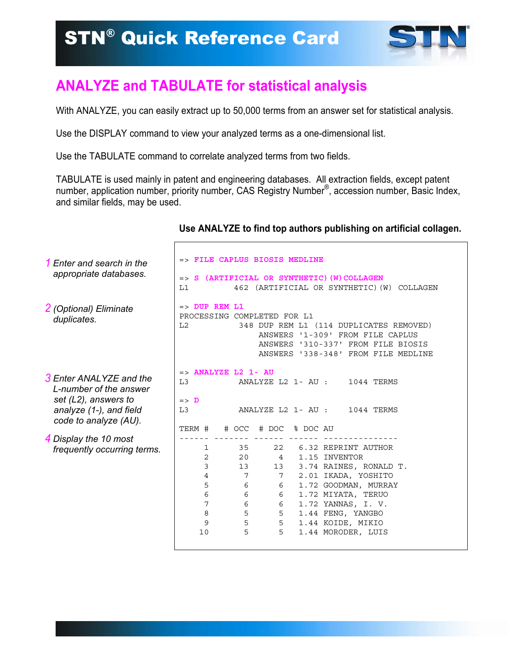

## **ANALYZE and TABULATE for statistical analysis**

With ANALYZE, you can easily extract up to 50,000 terms from an answer set for statistical analysis.

Use the DISPLAY command to view your analyzed terms as a one-dimensional list.

Use the TABULATE command to correlate analyzed terms from two fields.

TABULATE is used mainly in patent and engineering databases. All extraction fields, except patent number, application number, priority number, CAS Registry Number<sup>®</sup>, accession number, Basic Index, and similar fields, may be used.

*Enter and search in the 1 appropriate databases. (Optional) Eliminate 2 duplicates. Enter ANALYZE and the 3 L-number of the answer set (L2), answers to analyze (1-), and field code to analyze (AU). Display the 10 most 4 frequently occurring terms.*  => **FILE CAPLUS BIOSIS MEDLINE** => **S (ARTIFICIAL OR SYNTHETIC)(W)COLLAGEN** L1 462 (ARTIFICIAL OR SYNTHETIC)(W) COLLAGEN => **DUP REM L1**  PROCESSING COMPLETED FOR L1 L2 348 DUP REM L1 (114 DUPLICATES REMOVED) ANSWERS '1-309' FROM FILE CAPLUS ANSWERS '310-337' FROM FILE BIOSIS ANSWERS '338-348' FROM FILE MEDLINE => **ANALYZE L2 1- AU**  L3 ANALYZE L2 1- AU : 1044 TERMS  $=$   $>$  **D** L3 ANALYZE L2 1- AU : 1044 TERMS TERM # # OCC # DOC % DOC AU ------ ------- ------ ------ --------------- 1 35 22 6.32 REPRINT AUTHOR 2 20 4 1.15 INVENTOR 3 13 13 3.74 RAINES, RONALD T. 4 7 7 2.01 IKADA, YOSHITO 5 6 6 1.72 GOODMAN, MURRAY 6 6 6 1.72 MIYATA, TERUO 7 6 6 1.72 YANNAS, I. V. 8 5 5 1.44 FENG, YANGBO 9 5 5 1.44 KOIDE, MIKIO 10 5 5 1.44 MORODER, LUIS

**Use ANALYZE to find top authors publishing on artificial collagen.**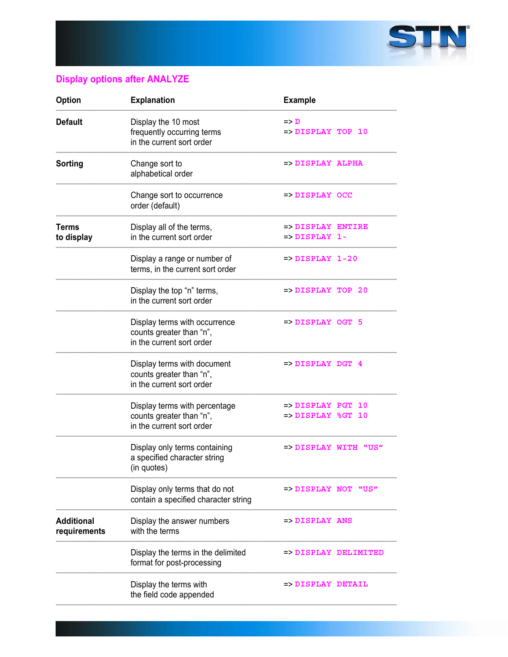

## **Display options after ANALYZE**

| <b>Option</b>                     | <b>Explanation</b>                                                                     | <b>Example</b><br>=> D<br>$\Rightarrow$ DISPLAY TOP 10            |  |  |  |  |  |
|-----------------------------------|----------------------------------------------------------------------------------------|-------------------------------------------------------------------|--|--|--|--|--|
| <b>Default</b>                    | Display the 10 most<br>frequently occurring terms<br>in the current sort order         |                                                                   |  |  |  |  |  |
| <b>Sorting</b>                    | Change sort to<br>alphabetical order                                                   | => DISPLAY ALPHA                                                  |  |  |  |  |  |
|                                   | Change sort to occurrence<br>order (default)                                           | => DISPLAY OCC                                                    |  |  |  |  |  |
| <b>Terms</b><br>to display        | Display all of the terms,<br>in the current sort order                                 | $\Rightarrow$ DISPLAY ENTIRE<br>$\Rightarrow$ DISPLAY 1-          |  |  |  |  |  |
|                                   | Display a range or number of<br>terms, in the current sort order                       | $=$ >DISPLAY 1-20                                                 |  |  |  |  |  |
|                                   | Display the top "n" terms,<br>in the current sort order                                | $\Rightarrow$ DISPLAY TOP 20                                      |  |  |  |  |  |
|                                   | Display terms with occurrence<br>counts greater than "n",<br>in the current sort order | $\Rightarrow$ DISPLAY OGT 5                                       |  |  |  |  |  |
|                                   | Display terms with document<br>counts greater than "n",<br>in the current sort order   | $\Rightarrow$ DISPLAY DGT 4                                       |  |  |  |  |  |
|                                   | Display terms with percentage<br>counts greater than "n",<br>in the current sort order | $\Rightarrow$ DISPLAY PGT<br>- 10<br>$\Rightarrow$ DISPLAY %GT 10 |  |  |  |  |  |
|                                   | Display only terms containing<br>a specified character string<br>(in quotes)           | =>DISPLAY WITH "US"                                               |  |  |  |  |  |
|                                   | Display only terms that do not<br>contain a specified character string                 | => DISPLAY NOT "US"                                               |  |  |  |  |  |
| <b>Additional</b><br>requirements | Display the answer numbers<br>with the terms                                           | $\Rightarrow$ DISPLAY ANS                                         |  |  |  |  |  |
|                                   | Display the terms in the delimited<br>format for post-processing                       | => DISPLAY DELIMITED                                              |  |  |  |  |  |
|                                   | Display the terms with<br>the field code appended                                      | <b>=&gt;DISPLAY DETAIL</b>                                        |  |  |  |  |  |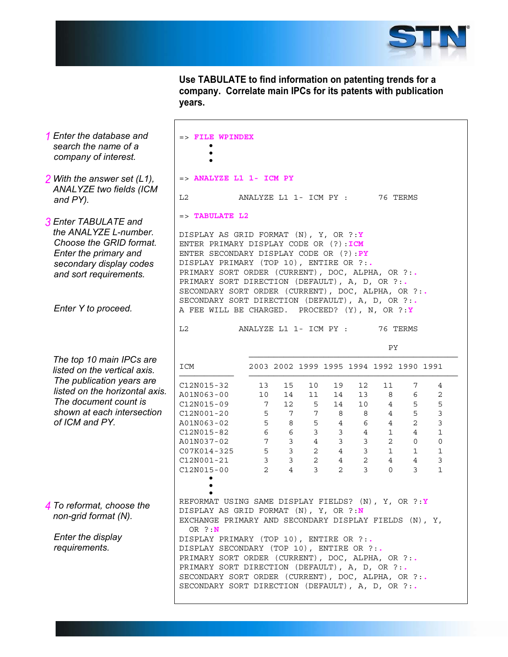

**Use TABULATE to find information on patenting trends for a company. Correlate main IPCs for its patents with publication years.** 

| 1 Enter the database and<br>search the name of a<br>company of interest.                                                       | $\Rightarrow$ FILE WPINDEX                                                                                                                                                                                                                                                                                                                                                                                                                                                          |                        |                                         |                                |                 |                     |                   |                            |                   |
|--------------------------------------------------------------------------------------------------------------------------------|-------------------------------------------------------------------------------------------------------------------------------------------------------------------------------------------------------------------------------------------------------------------------------------------------------------------------------------------------------------------------------------------------------------------------------------------------------------------------------------|------------------------|-----------------------------------------|--------------------------------|-----------------|---------------------|-------------------|----------------------------|-------------------|
| 2 With the answer set $(L1)$ ,                                                                                                 | $=$ > ANALYZE L1 1- ICM PY                                                                                                                                                                                                                                                                                                                                                                                                                                                          |                        |                                         |                                |                 |                     |                   |                            |                   |
| ANALYZE two fields (ICM<br>and $PY$ ).                                                                                         | L2<br>ANALYZE L1 1- ICM PY :<br>76 TERMS                                                                                                                                                                                                                                                                                                                                                                                                                                            |                        |                                         |                                |                 |                     |                   |                            |                   |
| 3 Enter TABULATE and                                                                                                           | $\Rightarrow$ TABULATE L2                                                                                                                                                                                                                                                                                                                                                                                                                                                           |                        |                                         |                                |                 |                     |                   |                            |                   |
| the ANALYZE L-number.<br>Choose the GRID format.<br>Enter the primary and<br>secondary display codes<br>and sort requirements. | DISPLAY AS GRID FORMAT (N), Y, OR ? Y<br>ENTER PRIMARY DISPLAY CODE OR (?): ICM<br>ENTER SECONDARY DISPLAY CODE OR (?):PY<br>DISPLAY PRIMARY (TOP 10), ENTIRE OR ?:.<br>PRIMARY SORT ORDER (CURRENT), DOC, ALPHA, OR ?:.<br>PRIMARY SORT DIRECTION (DEFAULT), A, D, OR ?:.<br>SECONDARY SORT ORDER (CURRENT), DOC, ALPHA, OR ?:.                                                                                                                                                    |                        |                                         |                                |                 |                     |                   |                            |                   |
| Enter Y to proceed.                                                                                                            | SECONDARY SORT DIRECTION (DEFAULT), A, D, OR ?:.<br>A FEE WILL BE CHARGED.<br>PROCEED? $(Y)$ , N, OR $? : Y$                                                                                                                                                                                                                                                                                                                                                                        |                        |                                         |                                |                 |                     |                   |                            |                   |
|                                                                                                                                | L <sub>2</sub>                                                                                                                                                                                                                                                                                                                                                                                                                                                                      | ANALYZE L1 1- ICM PY : |                                         |                                |                 |                     | 76 TERMS          |                            |                   |
|                                                                                                                                |                                                                                                                                                                                                                                                                                                                                                                                                                                                                                     |                        |                                         |                                |                 |                     | PΥ                |                            |                   |
| The top 10 main IPCs are<br>listed on the vertical axis.                                                                       | ICM                                                                                                                                                                                                                                                                                                                                                                                                                                                                                 |                        | 2003 2002 1999 1995 1994 1992 1990 1991 |                                |                 |                     |                   |                            |                   |
| The publication years are                                                                                                      | C12N015-32                                                                                                                                                                                                                                                                                                                                                                                                                                                                          | 13                     | 15                                      | 10                             | 19              | 12                  | 11                | 7                          | 4                 |
| listed on the horizontal axis.                                                                                                 | A01N063-00                                                                                                                                                                                                                                                                                                                                                                                                                                                                          | 10                     | 14                                      | 11                             | 14              | 13                  | 8                 | 6                          | 2                 |
| The document count is                                                                                                          | C12N015-09                                                                                                                                                                                                                                                                                                                                                                                                                                                                          | 7                      | 12                                      | 5                              | 14              | 10                  | 4                 | 5                          | 5                 |
| shown at each intersection                                                                                                     | C12N001-20                                                                                                                                                                                                                                                                                                                                                                                                                                                                          | 5                      | $\overline{7}$                          | 7                              | 8               | 8                   | 4                 | 5                          | 3                 |
| of ICM and PY.                                                                                                                 | A01N063-02                                                                                                                                                                                                                                                                                                                                                                                                                                                                          | 5                      | 8                                       | 5                              | 4               | 6                   | 4                 | $\overline{c}$             | 3                 |
|                                                                                                                                | C12N015-82                                                                                                                                                                                                                                                                                                                                                                                                                                                                          | 6<br>7                 | 6<br>3                                  | $\mathbf{3}$<br>$\overline{4}$ | 3<br>3          | $\overline{4}$<br>3 | $\mathbf{1}$<br>2 | $\overline{4}$<br>$\Omega$ | $\mathbf{1}$<br>0 |
|                                                                                                                                | A01N037-02<br>C07K014-325                                                                                                                                                                                                                                                                                                                                                                                                                                                           |                        | $\mathbf{3}$<br>5 <sub>1</sub>          | $\overline{2}$                 | $4\overline{ }$ | $\mathfrak{Z}$      | $\mathbf{1}$      | $\mathbf 1$                | 1                 |
|                                                                                                                                | C12N001-21                                                                                                                                                                                                                                                                                                                                                                                                                                                                          | $\mathbf{3}$           | $\mathbf{3}$                            | $\overline{2}$                 | $\overline{4}$  | 2                   | $\overline{4}$    | $\overline{4}$             | 3                 |
|                                                                                                                                | C12N015-00                                                                                                                                                                                                                                                                                                                                                                                                                                                                          | $\overline{2}$         | 4                                       | 3                              | $\overline{2}$  | $\overline{3}$      | $\Omega$          | 3                          | $\mathbf{1}$      |
|                                                                                                                                |                                                                                                                                                                                                                                                                                                                                                                                                                                                                                     |                        |                                         |                                |                 |                     |                   |                            |                   |
| 4 To reformat, choose the<br>non-grid format (N).                                                                              | REFORMAT USING SAME DISPLAY FIELDS? (N), Y, OR ?: Y<br>DISPLAY AS GRID FORMAT (N), Y, OR ?: N<br>EXCHANGE PRIMARY AND SECONDARY DISPLAY FIELDS (N), Y,<br>OR $?:\mathbf{N}$<br>DISPLAY PRIMARY (TOP 10), ENTIRE OR ?:.<br>DISPLAY SECONDARY (TOP 10), ENTIRE OR ?:.<br>PRIMARY SORT ORDER (CURRENT), DOC, ALPHA, OR ?:.<br>PRIMARY SORT DIRECTION (DEFAULT), A, D, OR ?:.<br>SECONDARY SORT ORDER (CURRENT), DOC, ALPHA, OR ?:.<br>SECONDARY SORT DIRECTION (DEFAULT), A, D, OR ?:. |                        |                                         |                                |                 |                     |                   |                            |                   |
| Enter the display<br>requirements.                                                                                             |                                                                                                                                                                                                                                                                                                                                                                                                                                                                                     |                        |                                         |                                |                 |                     |                   |                            |                   |

 $\Gamma$